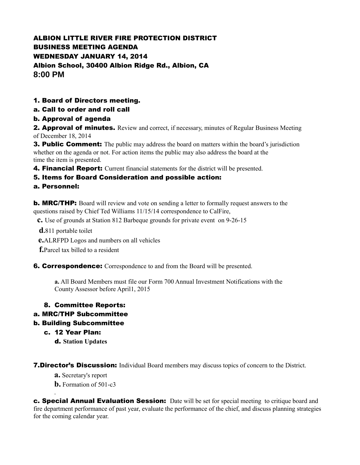# ALBION LITTLE RIVER FIRE PROTECTION DISTRICT BUSINESS MEETING AGENDA WEDNESDAY JANUARY 14, 2014 Albion School, 30400 Albion Ridge Rd., Albion, CA **8:00 PM**

## 1. Board of Directors meeting.

#### a. Call to order and roll call

#### b. Approval of agenda

**2. Approval of minutes.** Review and correct, if necessary, minutes of Regular Business Meeting of December 18, 2014

**3. Public Comment:** The public may address the board on matters within the board's jurisdiction whether on the agenda or not. For action items the public may also address the board at the time the item is presented.

**4. Financial Report:** Current financial statements for the district will be presented.

#### 5. Items for Board Consideration and possible action:

#### a. Personnel:

**b. MRC/THP:** Board will review and vote on sending a letter to formally request answers to the questions raised by Chief Ted Williams 11/15/14 correspondence to CalFire,

 **c.** Use of grounds at Station 812 Barbeque grounds for private event on 9-26-15

**d.**811 portable toilet

**e.**ALRFPD Logos and numbers on all vehicles

**f.**Parcel tax billed to a resident

**6. Correspondence:** Correspondence to and from the Board will be presented.

**a.** All Board Members must file our Form 700 Annual Investment Notifications with the County Assessor before April1, 2015

#### 8. Committee Reports:

## a. MRC/THP Subcommittee

#### b. Building Subcommittee

c. 12 Year Plan:

d. **Station Updates**

**7.Director's Discussion:** Individual Board members may discuss topics of concern to the District.

**a.** Secretary's report

.

**b.** Formation of 501-c3

**c. Special Annual Evaluation Session:** Date will be set for special meeting to critique board and fire department performance of past year, evaluate the performance of the chief, and discuss planning strategies for the coming calendar year.